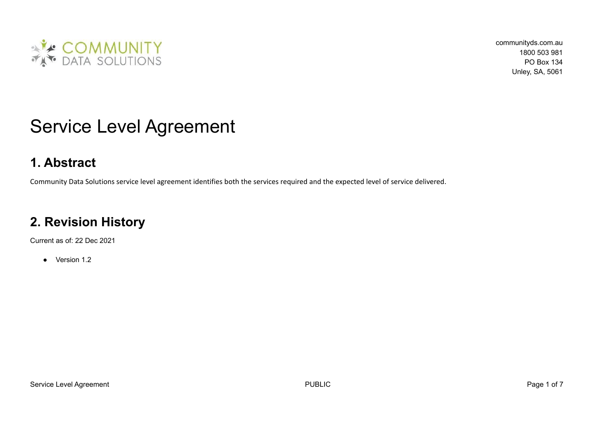

# Service Level Agreement

## **1. Abstract**

Community Data Solutions service level agreement identifies both the services required and the expected level of service delivered.

## **2. Revision History**

Current as of: 22 Dec 2021

● Version 1.2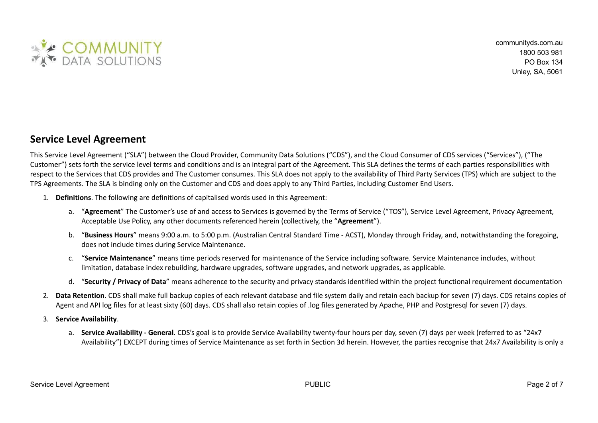

#### **Service Level Agreement**

This Service Level Agreement ("SLA") between the Cloud Provider, Community Data Solutions ("CDS"), and the Cloud Consumer of CDS services ("Services"), ("The Customer") sets forth the service level terms and conditions and is an integral part of the Agreement. This SLA defines the terms of each parties responsibilities with respect to the Services that CDS provides and The Customer consumes. This SLA does not apply to the availability of Third Party Services (TPS) which are subject to the TPS Agreements. The SLA is binding only on the Customer and CDS and does apply to any Third Parties, including Customer End Users.

- 1. **Definitions**. The following are definitions of capitalised words used in this Agreement:
	- a. "**Agreement**" The Customer's use of and access to Services is governed by the Terms of Service ("TOS"), Service Level Agreement, Privacy Agreement, Acceptable Use Policy, any other documents referenced herein (collectively, the "**Agreement**").
	- b. "**Business Hours**" means 9:00 a.m. to 5:00 p.m. (Australian Central Standard Time ACST), Monday through Friday, and, notwithstanding the foregoing, does not include times during Service Maintenance.
	- c. "**Service Maintenance**" means time periods reserved for maintenance of the Service including software. Service Maintenance includes, without limitation, database index rebuilding, hardware upgrades, software upgrades, and network upgrades, as applicable.
	- d. "**Security / Privacy of Data**" means adherence to the security and privacy standards identified within the project functional requirement documentation
- 2. **Data Retention**. CDS shall make full backup copies of each relevant database and file system daily and retain each backup for seven (7) days. CDS retains copies of Agent and API log files for at least sixty (60) days. CDS shall also retain copies of .log files generated by Apache. PHP and Postgresql for seven (7) days.
- 3. **Service Availability**.
	- a. **Service Availability - General**. CDS's goal is to provide Service Availability twenty-four hours per day, seven (7) days per week (referred to as "24x7 Availability") EXCEPT during times of Service Maintenance as set forth in Section 3d herein. However, the parties recognise that 24x7 Availability is only a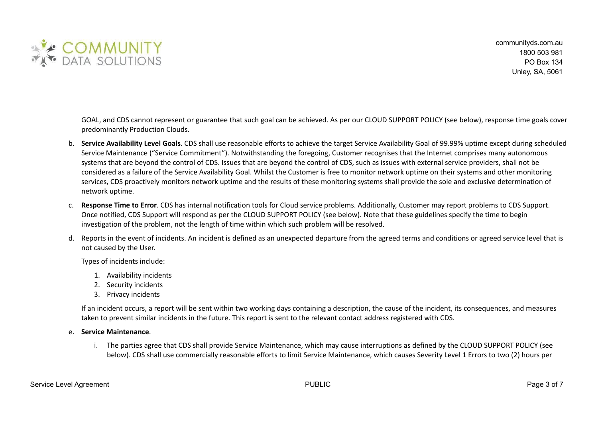

GOAL, and CDS cannot represent or guarantee that such goal can be achieved. As per our CLOUD SUPPORT POLICY (see below), response time goals cover predominantly Production Clouds.

- b. **Service Availability Level Goals**. CDS shall use reasonable efforts to achieve the target Service Availability Goal of 99.99% uptime except during scheduled Service Maintenance ("Service Commitment"). Notwithstanding the foregoing, Customer recognises that the Internet comprises many autonomous systems that are beyond the control of CDS. Issues that are beyond the control of CDS, such as issues with external service providers, shall not be considered as a failure of the Service Availability Goal. Whilst the Customer is free to monitor network uptime on their systems and other monitoring services, CDS proactively monitors network uptime and the results of these monitoring systems shall provide the sole and exclusive determination of network uptime.
- c. **Response Time to Error**. CDS has internal notification tools for Cloud service problems. Additionally, Customer may report problems to CDS Support. Once notified, CDS Support will respond as per the CLOUD SUPPORT POLICY (see below). Note that these guidelines specify the time to begin investigation of the problem, not the length of time within which such problem will be resolved.
- d. Reports in the event of incidents. An incident is defined as an unexpected departure from the agreed terms and conditions or agreed service level that is not caused by the User.

Types of incidents include:

- 1. Availability incidents
- 2. Security incidents
- 3. Privacy incidents

If an incident occurs, a report will be sent within two working days containing a description, the cause of the incident, its consequences, and measures taken to prevent similar incidents in the future. This report is sent to the relevant contact address registered with CDS.

#### e. **Service Maintenance**.

i. The parties agree that CDS shall provide Service Maintenance, which may cause interruptions as defined by the CLOUD SUPPORT POLICY (see below). CDS shall use commercially reasonable efforts to limit Service Maintenance, which causes Severity Level 1 Errors to two (2) hours per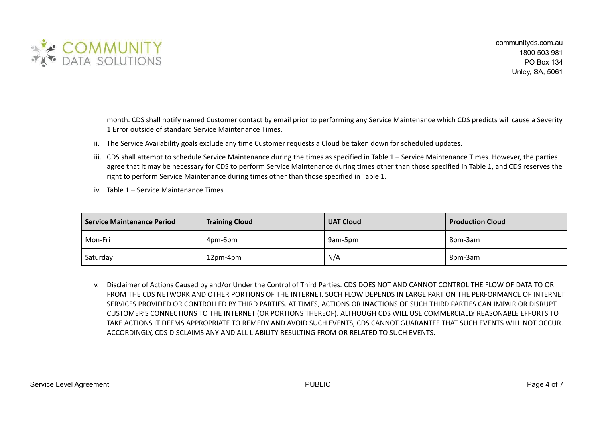

month. CDS shall notify named Customer contact by email prior to performing any Service Maintenance which CDS predicts will cause a Severity 1 Error outside of standard Service Maintenance Times.

- ii. The Service Availability goals exclude any time Customer requests a Cloud be taken down for scheduled updates.
- iii. CDS shall attempt to schedule Service Maintenance during the times as specified in Table 1 Service Maintenance Times. However, the parties agree that it may be necessary for CDS to perform Service Maintenance during times other than those specified in Table 1, and CDS reserves the right to perform Service Maintenance during times other than those specified in Table 1.
- iv. Table 1 Service Maintenance Times

| <b>Service Maintenance Period</b> | <b>Training Cloud</b> | <b>UAT Cloud</b> | <b>Production Cloud</b> |
|-----------------------------------|-----------------------|------------------|-------------------------|
| Mon-Fri                           | 4pm-6pm               | 9am-5pm          | 8pm-3am                 |
| Saturday                          | 12pm-4pm              | N/A              | 8pm-3am                 |

v. Disclaimer of Actions Caused by and/or Under the Control of Third Parties. CDS DOES NOT AND CANNOT CONTROL THE FLOW OF DATA TO OR FROM THE CDS NETWORK AND OTHER PORTIONS OF THE INTERNET. SUCH FLOW DEPENDS IN LARGE PART ON THE PERFORMANCE OF INTERNET SERVICES PROVIDED OR CONTROLLED BY THIRD PARTIES. AT TIMES, ACTIONS OR INACTIONS OF SUCH THIRD PARTIES CAN IMPAIR OR DISRUPT CUSTOMER'S CONNECTIONS TO THE INTERNET (OR PORTIONS THEREOF). ALTHOUGH CDS WILL USE COMMERCIALLY REASONABLE EFFORTS TO TAKE ACTIONS IT DEEMS APPROPRIATE TO REMEDY AND AVOID SUCH EVENTS, CDS CANNOT GUARANTEE THAT SUCH EVENTS WILL NOT OCCUR. ACCORDINGLY, CDS DISCLAIMS ANY AND ALL LIABILITY RESULTING FROM OR RELATED TO SUCH EVENTS.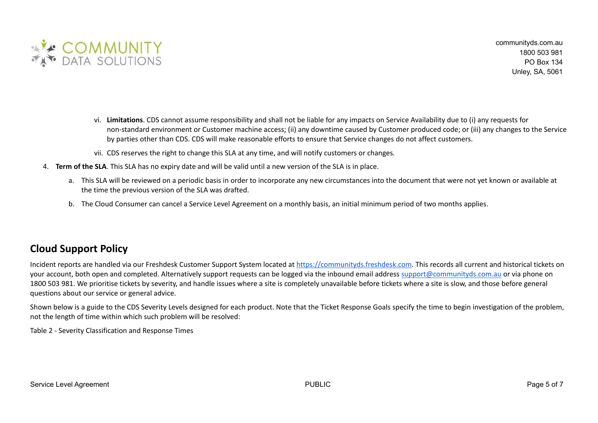

- vi. **Limitations**. CDS cannot assume responsibility and shall not be liable for any impacts on Service Availability due to (i) any requests for non-standard environment or Customer machine access; (ii) any downtime caused by Customer produced code; or (iii) any changes to the Service by parties other than CDS. CDS will make reasonable efforts to ensure that Service changes do not affect customers.
- vii. CDS reserves the right to change this SLA at any time, and will notify customers or changes.
- 4. **Term of the SLA**. This SLA has no expiry date and will be valid until a new version of the SLA is in place.
	- a. This SLA will be reviewed on a periodic basis in order to incorporate any new circumstances into the document that were not yet known or available at the time the previous version of the SLA was drafted.
	- b. The Cloud Consumer can cancel a Service Level Agreement on a monthly basis, an initial minimum period of two months applies.

### **Cloud Support Policy**

Incident reports are handled via our Freshdesk Customer Support System located at [https://communityds.freshdesk.com.](https://communityds.freshdesk.com) This records all current and historical tickets on your account, both open and completed. Alternatively support requests can be logged via the inbound email address [support@communityds.com.au](mailto:support@communityds.com.au) or via phone on 1800 503 981. We prioritise tickets by severity, and handle issues where a site is completely unavailable before tickets where a site is slow, and those before general questions about our service or general advice.

Shown below is a guide to the CDS Severity Levels designed for each product. Note that the Ticket Response Goals specify the time to begin investigation of the problem, not the length of time within which such problem will be resolved:

Table 2 - Severity Classification and Response Times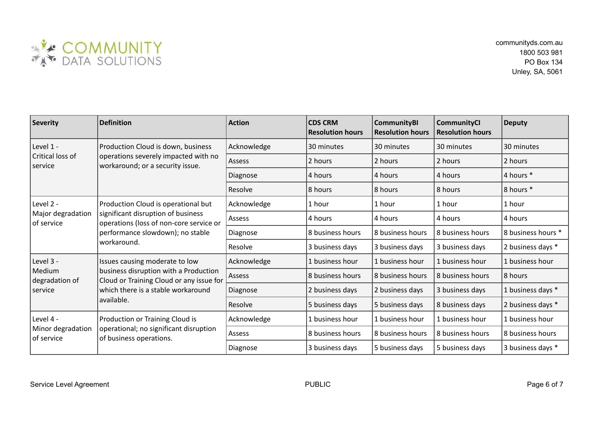

| <b>Severity</b>                                  | <b>Definition</b>                                                                                                                                                       | <b>Action</b> | <b>CDS CRM</b><br><b>Resolution hours</b> | <b>CommunityBI</b><br><b>Resolution hours</b> | <b>CommunityCl</b><br><b>Resolution hours</b> | <b>Deputy</b>      |
|--------------------------------------------------|-------------------------------------------------------------------------------------------------------------------------------------------------------------------------|---------------|-------------------------------------------|-----------------------------------------------|-----------------------------------------------|--------------------|
| Level 1 -<br>Critical loss of<br>service         | Production Cloud is down, business<br>operations severely impacted with no<br>workaround; or a security issue.                                                          | Acknowledge   | 30 minutes                                | 30 minutes                                    | 30 minutes                                    | 30 minutes         |
|                                                  |                                                                                                                                                                         | Assess        | 2 hours                                   | 2 hours                                       | 2 hours                                       | 2 hours            |
|                                                  |                                                                                                                                                                         | Diagnose      | 4 hours                                   | 4 hours                                       | 4 hours                                       | 4 hours *          |
|                                                  |                                                                                                                                                                         | Resolve       | 8 hours                                   | 8 hours                                       | 8 hours                                       | 8 hours *          |
| Level 2 -<br>Major degradation<br>of service     | Production Cloud is operational but<br>significant disruption of business<br>operations (loss of non-core service or<br>performance slowdown); no stable<br>workaround. | Acknowledge   | 1 hour                                    | 1 hour                                        | 1 hour                                        | 1 hour             |
|                                                  |                                                                                                                                                                         | Assess        | 4 hours                                   | 4 hours                                       | 4 hours                                       | 4 hours            |
|                                                  |                                                                                                                                                                         | Diagnose      | 8 business hours                          | 8 business hours                              | 8 business hours                              | 8 business hours * |
|                                                  |                                                                                                                                                                         | Resolve       | 3 business days                           | 3 business days                               | 3 business days                               | 2 business days *  |
| Level 3 -<br>Medium<br>degradation of<br>service | Issues causing moderate to low<br>business disruption with a Production<br>Cloud or Training Cloud or any issue for<br>which there is a stable workaround<br>available. | Acknowledge   | 1 business hour                           | 1 business hour                               | 1 business hour                               | 1 business hour    |
|                                                  |                                                                                                                                                                         | <b>Assess</b> | 8 business hours                          | 8 business hours                              | 8 business hours                              | 8 hours            |
|                                                  |                                                                                                                                                                         | Diagnose      | 2 business days                           | 2 business days                               | 3 business days                               | 1 business days *  |
|                                                  |                                                                                                                                                                         | Resolve       | 5 business days                           | 5 business days                               | 8 business days                               | 2 business days *  |
| Level 4 -<br>Minor degradation<br>of service     | Production or Training Cloud is<br>operational; no significant disruption<br>of business operations.                                                                    | Acknowledge   | 1 business hour                           | 1 business hour                               | 1 business hour                               | 1 business hour    |
|                                                  |                                                                                                                                                                         | Assess        | 8 business hours                          | 8 business hours                              | 8 business hours                              | 8 business hours   |
|                                                  |                                                                                                                                                                         | Diagnose      | 3 business days                           | 5 business days                               | 5 business days                               | 3 business days *  |